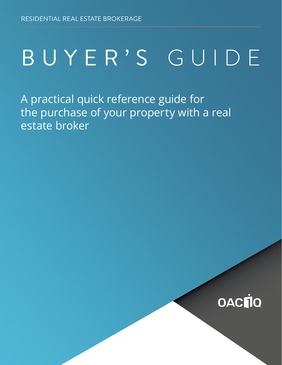# BUYER'S GUIDE

A practical quick reference guide for the purchase of your property with a real estate broker

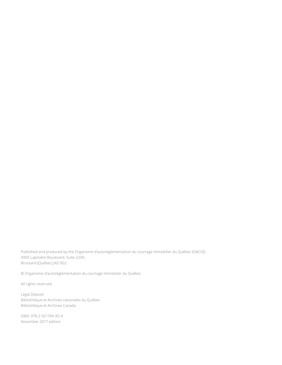Published and produced by the Organisme d'autoréglementation du courtage immobilier du Québec (OACIQ) 4905 Lapinière Boulevard, Suite 2200, Brossard (Québec) J4Z 0G2

© Organisme d'autoréglementation du courtage immobilier du Québec

All rights reserved.

Legal Deposit Bibliothèque et Archives nationales du Québec Bibliothèque et Archives Canada

ISBN: 978-2-921749-95-4 November 2017 edition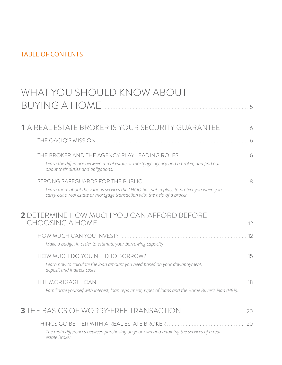## TABLE OF CONTENTS

| WHAT YOU SHOULD KNOW ABOUT                                                                                                                                             |     |
|------------------------------------------------------------------------------------------------------------------------------------------------------------------------|-----|
| BUYING A HOME                                                                                                                                                          |     |
|                                                                                                                                                                        |     |
|                                                                                                                                                                        |     |
| Learn the difference between a real estate or mortgage agency and a broker, and find out<br>about their duties and obligations.                                        |     |
| STRONG SAFEGUARDS FOR THE PUBLIC                                                                                                                                       | 8   |
| Learn more about the various services the OACIQ has put in place to protect you when you<br>carry out a real estate or mortgage transaction with the help of a broker. |     |
| <b>2</b> DETERMINE HOW MUCH YOU CAN AFFORD BEFORE<br>CHOOSING A HOME                                                                                                   | .12 |
| Make a budget in order to estimate your borrowing capacity                                                                                                             |     |
| Learn how to calculate the loan amount you need based on your downpayment,<br>deposit and indirect costs.                                                              | 15  |
| THE MORTGAGE LOAN.                                                                                                                                                     | 18  |
| Familiarize yourself with interest, loan repayment, types of loans and the Home Buyer's Plan (HBP).                                                                    |     |
|                                                                                                                                                                        |     |
|                                                                                                                                                                        |     |

*[The main differences between purchasing on your own and retaining the services of a real](#page-19-0)  [estate broker](#page-19-0)*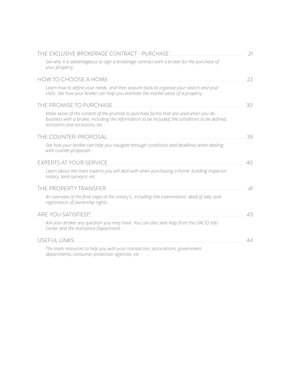| THE EXCLUSIVE BROKERAGE CONTRACT - PURCHASE                                                                                                                                                                                | 21 |
|----------------------------------------------------------------------------------------------------------------------------------------------------------------------------------------------------------------------------|----|
| See why it is advantageous to sign a brokerage contract with a broker for the purchase of<br>your property.                                                                                                                |    |
| HOW TO CHOOSE A HOME                                                                                                                                                                                                       | 22 |
| Learn how to define your needs, and then acquire tools to organize your search and your<br>visits. See how your broker can help you estimate the market value of a property.                                               |    |
| THE PROMISE TO PURCHASE                                                                                                                                                                                                    | 30 |
| Make sense of the content of the promise to purchase forms that are used when you do<br>business with a broker, including the information to be included, the conditions to be defined,<br>inclusions and exclusions, etc. |    |
| THE COUNTER-PROPOSAL                                                                                                                                                                                                       | 39 |
| See how your broker can help you navigate through conditions and deadlines when dealing<br>with counter-proposals.                                                                                                         |    |
| <b>EXPERTS AT YOUR SERVICE</b>                                                                                                                                                                                             | 40 |
| Learn about the main experts you will deal with when purchasing a home: building inspector,<br>notary, land surveyor, etc.                                                                                                 |    |
| THE PROPERTY TRANSFER                                                                                                                                                                                                      | 41 |
| An overview of the final steps at the notary's, including title examination, deed of sale, and<br>registration of ownership rights.                                                                                        |    |
| ARE YOU SATISFIED?                                                                                                                                                                                                         | 43 |
| Ask your broker any question you may have. You can also seek help from the OACIQ Info<br>Center and the Assistance Department.                                                                                             |    |
| <b>USEFUL LINKS</b>                                                                                                                                                                                                        | 44 |
| The main resources to help you with your transaction: associations, government<br>departments, consumer protection agencies, etc.                                                                                          |    |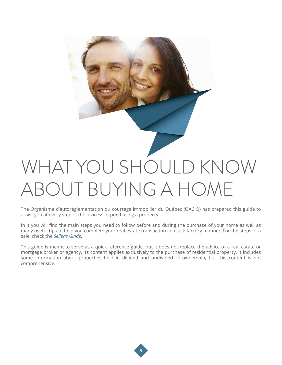<span id="page-4-0"></span>

The Organisme d'autoréglementation du courtage immobilier du Québec (OACIQ) has prepared this guide to assist you at every step of the process of purchasing a property.

In it you will find the main steps you need to follow before and during the purchase of your home as well as many useful tips to help you complete your real estate transaction in a satisfactory manner. For the steps of a sale, check the *[Seller's Guide](http://www.oaciq.com/en/pages/brochures-folders-and-various-documents)*.

This guide is meant to serve as a quick reference guide, but it does not replace the advice of a real estate or mortgage broker or agency. Its content applies exclusively to the purchase of residential property. It includes some information about properties held in divided and undivided co-ownership, but this content is not comprehensive.

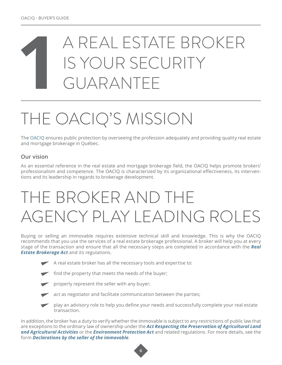## <span id="page-5-0"></span>**1** A REAL ESTATE BROKER IS YOUR SECURITY GUARANTEE

## THE OACIQ'S MISSION

The [OACIQ](http://www.oaciq.com/en/pages/about-oaciq) ensures public protection by overseeing the profession adequately and providing quality real estate and mortgage brokerage in Québec.

### **Our vision**

As an essential reference in the real estate and mortgage brokerage field, the OACIQ helps promote brokers' professionalism and competence. The OACIQ is characterized by its organizational effectiveness, its interventions and its leadership in regards to brokerage development.

## THE BROKER AND THE AGENCY PLAY LEADING ROLES

Buying or selling an immovable requires extensive technical skill and knowledge. This is why the OACIQ recommends that you use the services of a real estate brokerage professional. A broker will help you at every stage of the transaction and ensure that all the necessary steps are completed in accordance with the *[Real](http://www.oaciq.com/en/pages/by-laws-and-regulations)  [Estate Brokerage Act](http://www.oaciq.com/en/pages/by-laws-and-regulations) and its regulations.* 



A real estate broker has all the necessary tools and expertise to:

find the property that meets the needs of the buyer;



properly represent the seller with any buyer;



act as negotiator and facilitate communication between the parties;



 play an advisory role to help you define your needs and successfully complete your real estate transaction.

In addition, the broker has a duty to verify whether the immovable is subject to any restrictions of public law that are exceptions to the ordinary law of ownership under the *[Act Respecting the Preservation of Agricultural Land](http://www2.publicationsduquebec.gouv.qc.ca/dynamicSearch/telecharge.php?type=2&file=/P_41_1/P41_1_A.html)  [and Agricultural Activities](http://www2.publicationsduquebec.gouv.qc.ca/dynamicSearch/telecharge.php?type=2&file=/P_41_1/P41_1_A.html)* or the *[Environment Protection Act](http://laws-lois.justice.gc.ca/eng/acts/C-15.31/)* and related regulations. For more details, see the form *[Declarations by the seller of the immovable](http://www.oaciq.com/en/pages/real-estate-brokerage-forms)*.

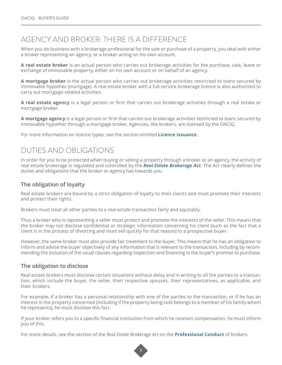## AGENCY AND BROKER: THERE IS A DIFFERENCE

When you do business with a brokerage professional for the sale or purchase of a property, you deal with either a broker representing an agency, or a broker acting on his own account.

**A real estate broker** is an actual person who carries out brokerage activities for the purchase, sale, lease or exchange of immovable property, either on his own account or on behalf of an agency.

**A mortgage broker** is the actual person who carries out brokerage activities restricted to loans secured by immovable hypothec (mortgage). A real estate broker with a full-service brokerage licence is also authorized to carry out mortgage-related activities.

**A real estate agency** is a legal person or firm that carries out brokerage activities through a real estate or mortgage broker.

**A mortgage agency** is a legal person or firm that carries out brokerage activities restricted to loans secured by immovable hypothec through a mortgage broker. Agencies, like brokers, are licensed by the OACIQ.

For more information on licence types, see the section entitled **[Licence issuance](#page-8-0)**.

## DUTIES AND OBLIGATIONS

In order for you to be protected when buying or selling a property through a broker or an agency, the activity of real estate brokerage is regulated and controlled by the *[Real Estate Brokerage Act](http://www.oaciq.com/en/pages/by-laws-and-regulations)*. The Act clearly defines the duties and obligations that the broker or agency has towards you.

### **The obligation of loyalty**

Real estate brokers are bound by a strict obligation of loyalty to their clients and must promote their interests and protect their rights.

Brokers must treat all other parties to a real estate transaction fairly and equitably.

Thus a broker who is representing a seller must protect and promote the interests of the seller. This means that the broker may not disclose confidential or strategic information concerning his client (such as the fact that a client is in the process of divorcing and must sell quickly for that reason) to a prospective buyer.

However, the same broker must also provide fair treatment to the buyer. This means that he has an obligation to inform and advise the buyer objectively of any information that is relevant to the transaction, including by recommending the inclusion of the usual clauses regarding inspection and financing in the buyer's promise to purchase.

#### **The obligation to disclose**

Real estate brokers must disclose certain situations without delay and in writing to all the parties to a transaction, which include the buyer, the seller, their respective spouses, their representatives, as applicable, and their brokers.

For example, if a broker has a personal relationship with one of the parties to the transaction, or if he has an interest in the property concerned (including if the property being sold belongs to a member of his family whom he represents), he must disclose this fact.

If your broker refers you to a specific financial institution from which he receives compensation, he must inform you of this.

For more details, see the section of the *Real Estate Brokerage Act* on the **[Professional Conduct](http://www.oaciq.com/en/pages/by-laws-and-regulations)** of brokers.

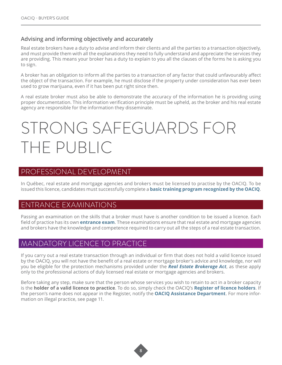### <span id="page-7-0"></span>**Advising and informing objectively and accurately**

Real estate brokers have a duty to advise and inform their clients and all the parties to a transaction objectively, and must provide them with all the explanations they need to fully understand and appreciate the services they are providing. This means your broker has a duty to explain to you all the clauses of the forms he is asking you to sign.

A broker has an obligation to inform all the parties to a transaction of any factor that could unfavourably affect the object of the transaction. For example, he must disclose if the property under consideration has ever been used to grow marijuana, even if it has been put right since then.

A real estate broker must also be able to demonstrate the accuracy of the information he is providing using proper documentation. This information verification principle must be upheld, as the broker and his real estate agency are responsible for the information they disseminate.

## STRONG SAFEGUARDS FOR THE PUBLIC

### PROFESSIONAL DEVELOPMENT

In Québec, real estate and mortgage agencies and brokers must be licensed to practise by the OACIQ. To be issued this licence, candidates must successfully complete a **[basic training program recognized by the OACIQ](http://www.oaciq.com/en/pages/educational-institutions-and-training-programs-recognized-by-the-oaciq)**.

## ENTRANCE EXAMINATIONS

Passing an examination on the skills that a broker must have is another condition to be issued a licence. Each field of practice has its own **[entrance exam](http://www.oaciq.com/en/pages/to-prepare-for-the-oaciq-certification-examinations)**. These examinations ensure that real estate and mortgage agencies and brokers have the knowledge and competence required to carry out all the steps of a real estate transaction.

### MANDATORY LICENCE TO PRACTICE

If you carry out a real estate transaction through an individual or firm that does not hold a valid licence issued by the OACIQ, you will not have the benefit of a real estate or mortgage broker's advice and knowledge, nor will you be eligible for the protection mechanisms provided under the *[Real Estate Brokerage Act](http://www.oaciq.com/en/pages/by-laws-and-regulations)*, as these apply only to the professional actions of duly licensed real estate or mortgage agencies and brokers.

Before taking any step, make sure that the person whose services you wish to retain to act in a broker capacity is the **holder of a valid licence to practice**. To do so, simply check the OACIQ's **[Register of licence holders](http://www.oaciq.com/en/find-broker)**. If the person's name does not appear in the Register, notify the **[OACIQ Assistance Department](#page-9-0)**. For more information on illegal practice, see page 11.

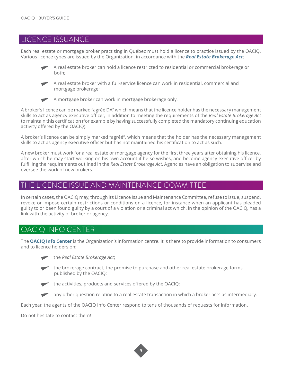## <span id="page-8-0"></span>LICENCE ISSUANCE

Each real estate or mortgage broker practising in Québec must hold a licence to practice issued by the OACIQ. Various licence types are issued by the Organization, in accordance with the *[Real Estate Brokerage Act](http://www.oaciq.com/en/pages/by-laws-and-regulations)*:



A real estate broker can hold a licence restricted to residential or commercial brokerage or



 A real estate broker with a full-service licence can work in residential, commercial and mortgage brokerage;



A mortgage broker can work in mortgage brokerage only.

A broker's licence can be marked "agréé DA" which means that the licence holder has the necessary management skills to act as agency executive officer, in addition to meeting the requirements of the *Real Estate Brokerage Act* to maintain this certification (for example by having successfully completed the mandatory continuing education activity offered by the OACIQ).

A broker's licence can be simply marked "agréé", which means that the holder has the necessary management skills to act as agency executive officer but has not maintained his certification to act as such.

A new broker must work for a real estate or mortgage agency for the first three years after obtaining his licence, after which he may start working on his own account if he so wishes, and become agency executive officer by fulfilling the requirements outlined in the *Real Estate Brokerage Act*. Agencies have an obligation to supervise and oversee the work of new brokers.

## THE LICENCE ISSUE AND MAINTENANCE COMMITTEE

In certain cases, the OACIQ may, through its Licence Issue and Maintenance Committee, refuse to issue, suspend, revoke or impose certain restrictions or conditions on a licence, for instance when an applicant has pleaded guilty to or been found guilty by a court of a violation or a criminal act which, in the opinion of the OACIQ, has a link with the activity of broker or agency.

## OACIQ INFO CENTER

The **[OACIQ Info Center](http://www.oaciq.com/en/pages/info-oaciq)** is the Organization's information centre. It is there to provide information to consumers and to licence holders on:

- al Estate Brokerage Act;
- $\blacktriangleright$  the brokerage contract, the promise to purchase and other real estate brokerage forms published by the OACIQ;



any other question relating to a real estate transaction in which a broker acts as intermediary.

Each year, the agents of the OACIQ Info Center respond to tens of thousands of requests for information.

Do not hesitate to contact them!

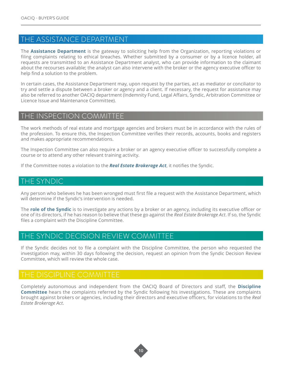## <span id="page-9-0"></span>THE ASSISTANCE DEPARTMENT

The **[Assistance Department](http://www.oaciq.com/en/pages/assistance-department)** is the gateway to soliciting help from the Organization, reporting violations or filing complaints relating to ethical breaches. Whether submitted by a consumer or by a licence holder, all requests are transmitted to an Assistance Department analyst, who can provide information to the claimant about the recourses available; the analyst can also intervene with the broker or the agency executive officer to help find a solution to the problem.

In certain cases, the Assistance Department may, upon request by the parties, act as mediator or conciliator to try and settle a dispute between a broker or agency and a client. If necessary, the request for assistance may also be referred to another OACIQ department (Indemnity Fund, Legal Affairs, Syndic, Arbitration Committee or Licence Issue and Maintenance Committee).

### THE INSPECTION COMMITTEE

The work methods of real estate and mortgage agencies and brokers must be in accordance with the rules of the profession. To ensure this, the Inspection Committee verifies their records, accounts, books and registers and makes appropriate recommendations.

The Inspection Committee can also require a broker or an agency executive officer to successfully complete a course or to attend any other relevant training activity.

If the Committee notes a violation to the *[Real Estate Brokerage Act](http://www.oaciq.com/en/pages/by-laws-and-regulations)*, it notifies the Syndic.

### THE SYNDIC

Any person who believes he has been wronged must first file a request with the Assistance Department, which will determine if the Syndic's intervention is needed.

The **[role of the Syndic](http://www.oaciq.com/en/pages/syndic)** is to investigate any actions by a broker or an agency, including its executive officer or one of its directors, if he has reason to believe that these go against the *Real Estate Brokerage Act*. If so, the Syndic files a complaint with the Discipline Committee.

### THE SYNDIC DECISION REVIEW COMMITTEE

If the Syndic decides not to file a complaint with the Discipline Committee, the person who requested the investigation may, within 30 days following the decision, request an opinion from the Syndic Decision Review Committee, which will review the whole case.

## THE DISCIPLINE COMMITTEE

Completely autonomous and independent from the OACIQ Board of Directors and staff, the **[Discipline](http://www.oaciq.com/en/pages/discipline-committee)  [Committee](http://www.oaciq.com/en/pages/discipline-committee)** hears the complaints referred by the Syndic following his investigations. These are complaints brought against brokers or agencies, including their directors and executive officers, for violations to the *Real Estate Brokerage Act*.

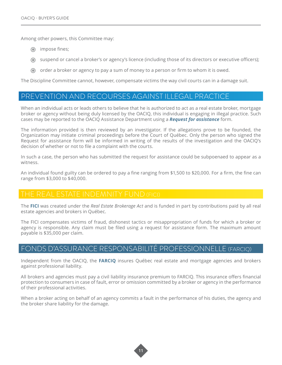Among other powers, this Committee may:

- $\odot$  impose fines;
- suspend or cancel a broker's or agency's licence (including those of its directors or executive officers);
- $\odot$  order a broker or agency to pay a sum of money to a person or firm to whom it is owed.

The Discipline Committee cannot, however, compensate victims the way civil courts can in a damage suit.

### PREVENTION AND RECOURSES AGAINST ILLEGAL PRACTICE

When an individual acts or leads others to believe that he is authorized to act as a real estate broker, mortgage broker or agency without being duly licensed by the OACIQ, this individual is engaging in illegal practice. Such cases may be reported to the OACIQ Assistance Department using a *[Request for assistance](http://www.oaciq.com/en/pages/assistance-department)* form.

The information provided is then reviewed by an investigator. If the allegations prove to be founded, the Organization may initiate criminal proceedings before the Court of Québec. Only the person who signed the Request for assistance form will be informed in writing of the results of the investigation and the OACIQ's decision of whether or not to file a complaint with the courts.

In such a case, the person who has submitted the request for assistance could be subpoenaed to appear as a witness.

An individual found guilty can be ordered to pay a fine ranging from \$1,500 to \$20,000. For a firm, the fine can range from \$3,000 to \$40,000.

The **[FICI](http://www.oaciq.com/en/pages/fici)** was created under the *Real Estate Brokerage Act* and is funded in part by contributions paid by all real estate agencies and brokers in Québec.

The FICI compensates victims of fraud, dishonest tactics or misappropriation of funds for which a broker or agency is responsible. Any claim must be filed using a request for assistance form. The maximum amount payable is \$35,000 per claim.

### FONDS D'ASSURANCE RESPONSABILITÉ PROFESSIONNELLE (FARCIQ)

Independent from the OACIQ, the **[FARCIQ](http://www.oaciq.com/en/pages/farciq)** insures Québec real estate and mortgage agencies and brokers against professional liability.

All brokers and agencies must pay a civil liability insurance premium to FARCIQ. This insurance offers financial protection to consumers in case of fault, error or omission committed by a broker or agency in the performance of their professional activities.

When a broker acting on behalf of an agency commits a fault in the performance of his duties, the agency and the broker share liability for the damage.

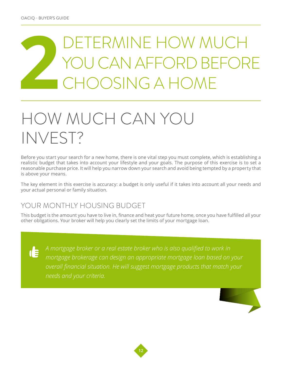## <span id="page-11-0"></span>**2** DETERMINE HOW MUCH CAN AFFORD BEFORE CHOOSING A HOME

## HOW MUCH CAN YOU INVEST?

Before you start your search for a new home, there is one vital step you must complete, which is establishing a realistic budget that takes into account your lifestyle and your goals. The purpose of this exercise is to set a reasonable purchase price. It will help you narrow down your search and avoid being tempted by a property that is above your means.

The key element in this exercise is accuracy: a budget is only useful if it takes into account all your needs and your actual personal or family situation.

## YOUR MONTHLY HOUSING BUDGET

This budget is the amount you have to live in, finance and heat your future home, once you have fulfilled all your other obligations. Your broker will help you clearly set the limits of your mortgage loan.

 $\mathbf{d}$ 

*A mortgage broker or a real estate broker who is also qualified to work in mortgage brokerage can design an appropriate mortgage loan based on your overall financial situation. He will suggest mortgage products that match your needs and your criteria.*



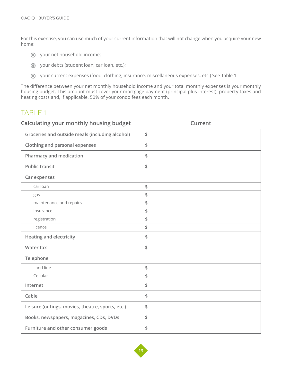For this exercise, you can use much of your current information that will not change when you acquire your new home:

- your net household income;
- your debts (student loan, car loan, etc.);
- your current expenses (food, clothing, insurance, miscellaneous expenses, etc.) See Table 1.

The difference between your net monthly household income and your total monthly expenses is your monthly housing budget. This amount must cover your mortgage payment (principal plus interest), property taxes and heating costs and, if applicable, 50% of your condo fees each month.

## TABLE 1

| Calculating your monthly housing budget          | Current      |  |  |  |  |  |
|--------------------------------------------------|--------------|--|--|--|--|--|
| Groceries and outside meals (including alcohol)  | \$           |  |  |  |  |  |
| <b>Clothing and personal expenses</b>            | \$           |  |  |  |  |  |
| <b>Pharmacy and medication</b>                   | \$           |  |  |  |  |  |
| <b>Public transit</b>                            | \$           |  |  |  |  |  |
| Car expenses                                     |              |  |  |  |  |  |
| car loan                                         | $\spadesuit$ |  |  |  |  |  |
| gas                                              | \$           |  |  |  |  |  |
| maintenance and repairs                          | \$           |  |  |  |  |  |
| insurance                                        | \$           |  |  |  |  |  |
| registration                                     | \$           |  |  |  |  |  |
| licence                                          | \$           |  |  |  |  |  |
| <b>Heating and electricity</b>                   | \$           |  |  |  |  |  |
| Water tax                                        | \$           |  |  |  |  |  |
| Telephone                                        |              |  |  |  |  |  |
| Land line                                        | $\spadesuit$ |  |  |  |  |  |
| Cellular                                         | \$           |  |  |  |  |  |
| Internet                                         | \$           |  |  |  |  |  |
| Cable                                            | $\spadesuit$ |  |  |  |  |  |
| Leisure (outings, movies, theatre, sports, etc.) | \$           |  |  |  |  |  |
| Books, newspapers, magazines, CDs, DVDs          | \$           |  |  |  |  |  |
| Furniture and other consumer goods               | \$           |  |  |  |  |  |

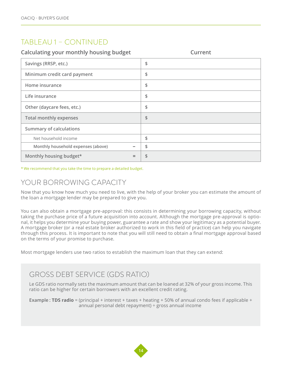## TABLEAU 1 – CONTINUED

| Calculating your monthly housing budget | Current |
|-----------------------------------------|---------|
| Savings (RRSP, etc.)                    | \$      |
| Minimum credit card payment             | \$      |
| Home insurance                          | \$      |
| Life insurance                          | \$      |
| Other (daycare fees, etc.)              | \$      |
| <b>Total monthly expenses</b>           | \$      |
| <b>Summary of calculations</b>          |         |
| Net household income                    | \$      |
| Monthly household expenses (above)      | \$      |
| Monthly housing budget*<br>$=$          | \$      |

\* We recommend that you take the time to prepare a detailed budget.

## YOUR BORROWING CAPACITY

Now that you know how much you need to live, with the help of your broker you can estimate the amount of the loan a mortgage lender may be prepared to give you.

You can also obtain a mortgage pre-approval: this consists in determining your borrowing capacity, without taking the purchase price of a future acquisition into account. Although the mortgage pre-approval is optional, it helps you determine your buying power, guarantee a rate and show your legitimacy as a potential buyer. A mortgage broker (or a real estate broker authorized to work in this field of practice) can help you navigate through this process. It is important to note that you will still need to obtain a final mortgage approval based on the terms of your promise to purchase.

Most mortgage lenders use two ratios to establish the maximum loan that they can extend:

## GROSS DEBT SERVICE (GDS RATIO)

Le GDS ratio normally sets the maximum amount that can be loaned at 32% of your gross income. This ratio can be higher for certain borrowers with an excellent credit rating.

**Example** : **TDS radio** = (principal + interest + taxes + heating + 50% of annual condo fees if applicable + annual personal debt repayment) ÷ gross annual income

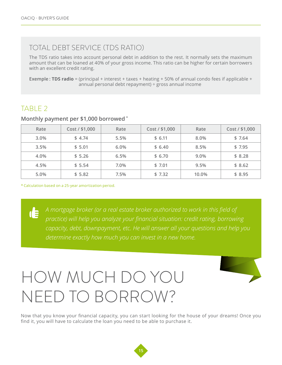## <span id="page-14-0"></span>TOTAL DEBT SERVICE (TDS RATIO)

The TDS ratio takes into account personal debt in addition to the rest. It normally sets the maximum amount that can be loaned at 40% of your gross income. This ratio can be higher for certain borrowers with an excellent credit rating.

**Exemple : TDS radio** = (principal + interest + taxes + heating + 50% of annual condo fees if applicable + annual personal debt repayment) ÷ gross annual income

## TABLE 2

 $\mathbf{d}$ 

| Rate | Cost / \$1,000 | Rate | Cost / \$1,000 | Rate  | Cost / \$1,000 |
|------|----------------|------|----------------|-------|----------------|
| 3.0% | \$4.74         | 5.5% | \$6.11         | 8.0%  | \$7.64         |
| 3.5% | \$5.01         | 6.0% | \$6.40         | 8.5%  | \$7.95         |
| 4.0% | \$5.26         | 6.5% | \$6.70         | 9.0%  | \$8.28         |
| 4.5% | \$5.54         | 7.0% | \$7.01         | 9.5%  | \$8.62         |
| 5.0% | \$5.82         | 7.5% | \$7.32         | 10.0% | \$8.95         |

#### **Monthly payment per \$1,000 borrowed \***

\* Calculation based on a 25-year amortization period.

*A mortgage broker (or a real estate broker authorized to work in this field of practice) will help you analyze your financial situation: credit rating, borrowing capacity, debt, downpayment, etc. He will answer all your questions and help you determine exactly how much you can invest in a new home.*

## HOW MUCH DO YOU NEED TO BORROW?



Now that you know your financial capacity, you can start looking for the house of your dreams! Once you find it, you will have to calculate the loan you need to be able to purchase it.

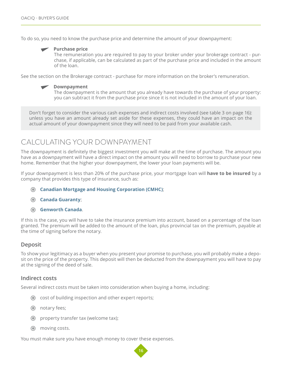To do so, you need to know the purchase price and determine the amount of your downpayment:

#### **Purchase price**

The remuneration you are required to pay to your broker under your brokerage contract - purchase, if applicable, can be calculated as part of the purchase price and included in the amount of the loan.

See the section on the Brokerage contract - purchase for more information on the broker's remuneration.



The downpayment is the amount that you already have towards the purchase of your property: you can subtract it from the purchase price since it is not included in the amount of your loan.

Don't forget to consider the various cash expenses and indirect costs involved (see table 3 on page 16): unless you have an amount already set aside for these expenses, they could have an impact on the actual amount of your downpayment since they will need to be paid from your available cash.

## CALCULATING YOUR DOWNPAYMENT

The downpayment is definitely the biggest investment you will make at the time of purchase. The amount you have as a downpayment will have a direct impact on the amount you will need to borrow to purchase your new home. Remember that the higher your downpayment, the lower your loan payments will be.

If your downpayment is less than 20% of the purchase price, your mortgage loan will **have to be insured** by a company that provides this type of insurance, such as:

- **[Canadian Mortgage and Housing Corporation](https://www.cmhc-schl.gc.ca/en/index.cfm) (CMHC)**;
- **[Canada Guaranty](http://www.canadaguaranty.ca/)**;
- **[Genworth Canada](http://genworth.ca/en/index.aspx)**.

If this is the case, you will have to take the insurance premium into account, based on a percentage of the loan granted. The premium will be added to the amount of the loan, plus provincial tax on the premium, payable at the time of signing before the notary.

#### **Deposit**

To show your legitimacy as a buyer when you present your promise to purchase, you will probably make a deposit on the price of the property. This deposit will then be deducted from the downpayment you will have to pay at the signing of the deed of sale.

#### **Indirect costs**

Several indirect costs must be taken into consideration when buying a home, including:

- cost of building inspection and other expert reports;
- **O** notary fees;
- **O** property transfer tax (welcome tax);
- $\odot$  moving costs.

You must make sure you have enough money to cover these expenses.

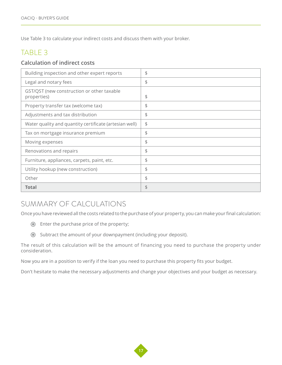Use Table 3 to calculate your indirect costs and discuss them with your broker.

## TABLE 3

### **Calculation of indirect costs**

| Building inspection and other expert reports              | \$ |
|-----------------------------------------------------------|----|
| Legal and notary fees                                     | \$ |
| GST/QST (new construction or other taxable<br>properties) | \$ |
| Property transfer tax (welcome tax)                       | \$ |
| Adjustments and tax distribution                          | \$ |
| Water quality and quantity certificate (artesian well)    | \$ |
| Tax on mortgage insurance premium                         | \$ |
| Moving expenses                                           | \$ |
| Renovations and repairs                                   | \$ |
| Furniture, appliances, carpets, paint, etc.               | \$ |
| Utility hookup (new construction)                         | \$ |
| Other                                                     | \$ |
| <b>Total</b>                                              | \$ |

## SUMMARY OF CALCULATIONS

Once you have reviewed all the costs related to the purchase of your property, you can make your final calculation:

- Enter the purchase price of the property;
- Subtract the amount of your downpayment (including your deposit).

The result of this calculation will be the amount of financing you need to purchase the property under consideration.

Now you are in a position to verify if the loan you need to purchase this property fits your budget.

Don't hesitate to make the necessary adjustments and change your objectives and your budget as necessary.

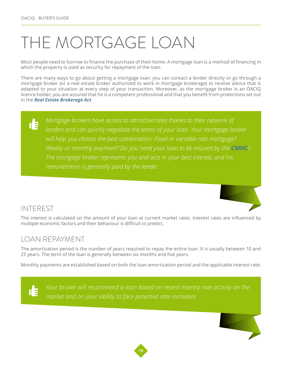## <span id="page-17-0"></span>THE MORTGAGE LOAN

Most people need to borrow to finance the purchase of their home. A mortgage loan is a method of financing in which the property is used as security for repayment of the loan.

There are many ways to go about getting a mortgage loan: you can contact a lender directly or go through a mortgage broker (or a real estate broker authorized to work in mortgage brokerage) to receive advice that is adapted to your situation at every step of your transaction. Moreover, as the mortgage broker is an OACIQ licence holder, you are assured that he is a competent professional and that you benefit from protections set out in the *[Real Estate Brokerage Act](http://www.oaciq.com/en/pages/by-laws-and-regulations)*.

## $\mathbf{d}$

*Mortgage brokers have access to attractive rates thanks to their network of lenders and can quickly negotiate the terms of your loan. Your mortgage broker will help you choose the best combination: Fixed or variable rate mortgage? Weekly or monthly payment? Do you need your loan to be insured by the [CMHC](https://www.cmhc-schl.gc.ca/en/index.cfm)? The mortgage broker represents you and acts in your best interest, and his remuneration is generally paid by the lender.*



## INTEREST

The interest is calculated on the amount of your loan at current market rates. Interest rates are influenced by multiple economic factors and their behaviour is difficult to predict.

## LOAN REPAYMENT

The amortization period is the number of years required to repay the entire loan. It is usually between 10 and 25 years. The term of the loan is generally between six months and five years.

Monthly payments are established based on both the loan amortization period and the applicable interest rate.

*Your broker will recommend a loan based on recent interest rate activity on the*  **IE** *market and on your ability to face potential rate increases.*

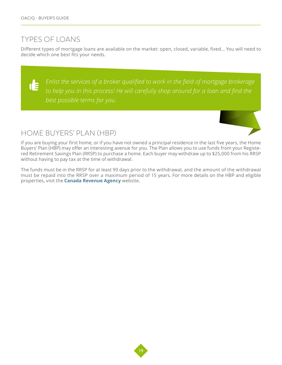## TYPES OF LOANS

Different types of mortgage loans are available on the market: open, closed, variable, fixed… You will need to decide which one best fits your needs.

*Enlist the services of a broker qualified to work in the field of mortgage brokerage*  d *to help you in this process! He will carefully shop around for a loan and find the best possible terms for you.*

## HOME BUYERS' PLAN (HBP)

If you are buying your first home, or if you have not owned a principal residence in the last five years, the Home Buyers' Plan (HBP) may offer an interesting avenue for you. The Plan allows you to use funds from your Registered Retirement Savings Plan (RRSP) to purchase a home. Each buyer may withdraw up to \$25,000 from his RRSP without having to pay tax at the time of withdrawal.

The funds must be in the RRSP for at least 90 days prior to the withdrawal, and the amount of the withdrawal must be repaid into the RRSP over a maximum period of 15 years. For more details on the HBP and eligible properties, visit the **[Canada Revenue Agency](http://www.cra-arc.gc.ca/menu-eng.html)** website.

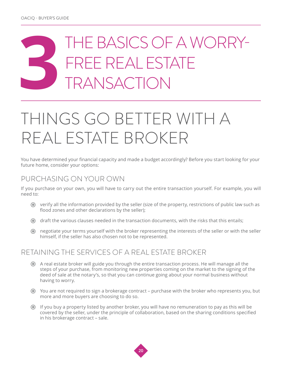## <span id="page-19-0"></span>**3**THE BASICS OF A WORRY-FREE REAL ESTATE TRANSACTION

## THINGS GO BETTER WITH A REAL ESTATE BROKER

You have determined your financial capacity and made a budget accordingly? Before you start looking for your future home, consider your options:

## PURCHASING ON YOUR OWN

If you purchase on your own, you will have to carry out the entire transaction yourself. For example, you will need to:

- verify all the information provided by the seller (size of the property, restrictions of public law such as flood zones and other declarations by the seller);
- draft the various clauses needed in the transaction documents, with the risks that this entails;
- negotiate your terms yourself with the broker representing the interests of the seller or with the seller himself, if the seller has also chosen not to be represented.

## RETAINING THE SERVICES OF A REAL ESTATE BROKER

- A real estate broker will guide you through the entire transaction process. He will manage all the steps of your purchase, from monitoring new properties coming on the market to the signing of the deed of sale at the notary's, so that you can continue going about your normal business without having to worry.
- You are not required to sign a brokerage contract purchase with the broker who represents you, but more and more buyers are choosing to do so.
- If you buy a property listed by another broker, you will have no remuneration to pay as this will be covered by the seller, under the principle of collaboration, based on the sharing conditions specified in his brokerage contract – sale.

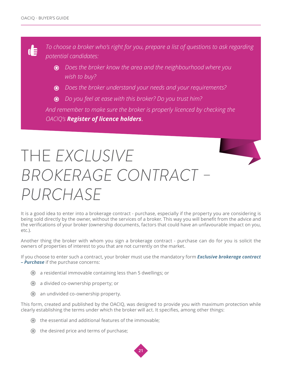<span id="page-20-0"></span>d

*To choose a broker who's right for you, prepare a list of questions to ask regarding potential candidates:* 

- *Does the broker know the area and the neighbourhood where you wish to buy?*
- *Does the broker understand your needs and your requirements?*
- *Do you feel at ease with this broker? Do you trust him?*

*And remember to make sure the broker is properly licenced by checking the OACIQ's [Register of licence holders](http://www.oaciq.com/en/find-broker)*.

## THE *EXCLUSIVE BROKERAGE CONTRACT – PURCHASE*

It is a good idea to enter into a brokerage contract - purchase, especially if the property you are considering is being sold directly by the owner, without the services of a broker. This way you will benefit from the advice and the verifications of your broker (ownership documents, factors that could have an unfavourable impact on you, etc.).

Another thing the broker with whom you sign a brokerage contract - purchase can do for you is solicit the owners of properties of interest to you that are not currently on the market.

If you choose to enter such a contract, your broker must use the mandatory form *[Exclusive brokerage contract](http://www.oaciq.com/en/pages/real-estate-brokerage-forms)  [– Purchase](http://www.oaciq.com/en/pages/real-estate-brokerage-forms)* if the purchase concerns:

- a residential immovable containing less than 5 dwellings; or
- a divided co-ownership property; or
- an undivided co-ownership property.

This form, created and published by the OACIQ, was designed to provide you with maximum protection while clearly establishing the terms under which the broker will act. It specifies, among other things:

- the essential and additional features of the immovable;
- $\odot$  the desired price and terms of purchase;

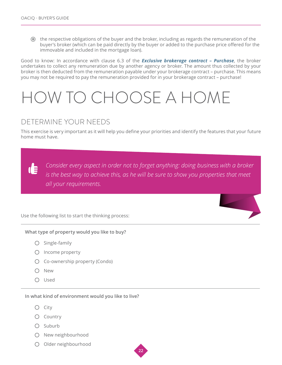<span id="page-21-0"></span> the respective obligations of the buyer and the broker, including as regards the remuneration of the buyer's broker (which can be paid directly by the buyer or added to the purchase price offered for the immovable and included in the mortgage loan).

Good to know: In accordance with clause 6.3 of the *[Exclusive brokerage contract – Purchase](http://www.oaciq.com/en/pages/real-estate-brokerage-forms)*, the broker undertakes to collect any remuneration due by another agency or broker. The amount thus collected by your broker is then deducted from the remuneration payable under your brokerage contract – purchase. This means you may not be required to pay the remuneration provided for in your brokerage contract – purchase!

## HOW TO CHOOSE A HOME

## DETERMINE YOUR NEEDS

This exercise is very important as it will help you define your priorities and identify the features that your future home must have.

*Consider every aspect in order not to forget anything: doing business with a broker*  **de** *is the best way to achieve this, as he will be sure to show you properties that meet all your requirements.*

Use the following list to start the thinking process:

#### **What type of property would you like to buy?**

- $O$  Single-family
- $O$  Income property
- Co-ownership property (Condo)
- O New
- Used

**In what kind of environment would you like to live?**

- $O$  City
- Country
- $O$  Suburb
- O New neighbourhood
- O Older neighbourhood

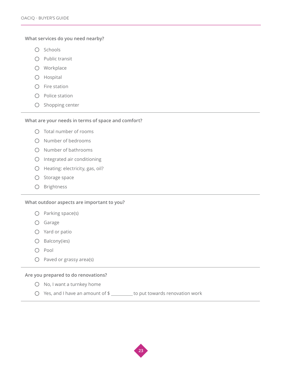#### **What services do you need nearby?**

- $O$  Schools
- $O$  Public transit
- Workplace
- Hospital
- $O$  Fire station
- $O$  Police station
- $O$  Shopping center

#### **What are your needs in terms of space and comfort?**

- $O$  Total number of rooms
- $\bigcirc$  Number of bedrooms
- O Number of bathrooms
- Integrated air conditioning
- Heating: electricity, gas, oil?
- $O$  Storage space
- O Brightness

#### **What outdoor aspects are important to you?**

- $O$  Parking space(s)
- Garage
- Yard or patio
- $O$  Balcony(ies)
- O Pool
- $O$  Paved or grassy area(s)

#### **Are you prepared to do renovations?**

- $O$  No, I want a turnkey home
- $\bigcirc$  Yes, and I have an amount of \$ \_\_\_\_\_\_\_ to put towards renovation work

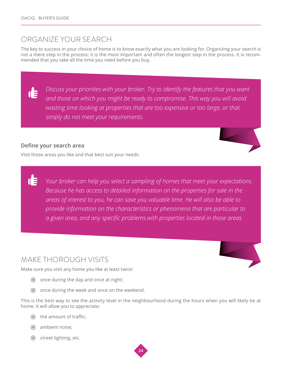## ORGANIZE YOUR SEARCH

The key to success in your choice of home is to know exactly what you are looking for. Organizing your search is not a mere step in the process: it is the most important and often the longest step in the process. It is recommended that you take all the time you need before you buy.

*Discuss your priorities with your broker. Try to identify the features that you want and those on which you might be ready to compromise. This way you will avoid wasting time looking at properties that are too expensive or too large, or that simply do not meet your requirements.*

### **Define your search area**

Œ

Visit those areas you like and that best suit your needs.

*Your broker can help you select a sampling of homes that meet your expectations. Because he has access to detailed information on the properties for sale in the areas of interest to you, he can save you valuable time. He will also be able to provide information on the characteristics or phenomena that are particular to a given area, and any specific problems with properties located in those areas.*

## MAKE THOROUGH VISITS

Make sure you visit any home you like at least twice:

- $\odot$  once during the day and once at night;
- once during the week and once on the weekend.

This is the best way to see the activity level in the neighbourhood during the hours when you will likely be at home. It will allow you to appreciate:

- $\odot$  the amount of traffic;
- ambient noise;
- **●** street lighting, etc.





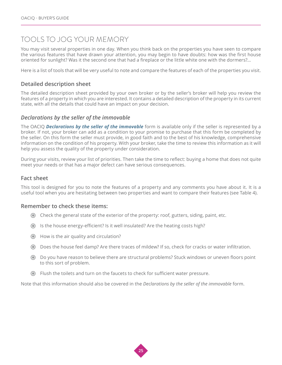## TOOLS TO JOG YOUR MEMORY

You may visit several properties in one day. When you think back on the properties you have seen to compare the various features that have drawn your attention, you may begin to have doubts: how was the first house oriented for sunlight? Was it the second one that had a fireplace or the little white one with the dormers?...

Here is a list of tools that will be very useful to note and compare the features of each of the properties you visit.

#### **Detailed description sheet**

The detailed description sheet provided by your own broker or by the seller's broker will help you review the features of a property in which you are interested. It contains a detailed description of the property in its current state, with all the details that could have an impact on your decision.

#### *Declarations by the seller of the immovable*

The OACIQ *[Declarations by the seller of the immovable](http://www.oaciq.com/en/pages/real-estate-brokerage-forms)* form is available only if the seller is represented by a broker. If not, your broker can add as a condition to your promise to purchase that this form be completed by the seller. On this form the seller must provide, in good faith and to the best of his knowledge, comprehensive information on the condition of his property. With your broker, take the time to review this information as it will help you assess the quality of the property under consideration.

During your visits, review your list of priorities. Then take the time to reflect: buying a home that does not quite meet your needs or that has a major defect can have serious consequences.

#### **Fact sheet**

This tool is designed for you to note the features of a property and any comments you have about it. It is a useful tool when you are hesitating between two properties and want to compare their features (see Table 4).

#### **Remember to check these items:**

- Check the general state of the exterior of the property: roof, gutters, siding, paint, etc.
- Is the house energy-efficient? Is it well insulated? Are the heating costs high?
- How is the air quality and circulation?
- Does the house feel damp? Are there traces of mildew? If so, check for cracks or water infiltration.
- Do you have reason to believe there are structural problems? Stuck windows or uneven floors point to this sort of problem.
- Flush the toilets and turn on the faucets to check for sufficient water pressure.

Note that this information should also be covered in the *Declarations by the seller of the immovable* form.

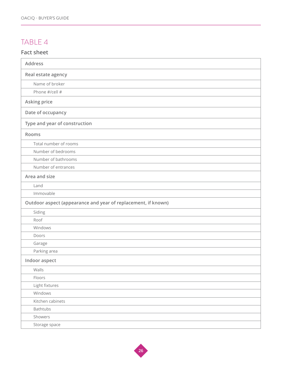## TABLE 4

### **Fact sheet**

| <b>Address</b>                                                |
|---------------------------------------------------------------|
| Real estate agency                                            |
| Name of broker                                                |
| Phone #/cell #                                                |
| Asking price                                                  |
| Date of occupancy                                             |
| Type and year of construction                                 |
| Rooms                                                         |
| Total number of rooms                                         |
| Number of bedrooms                                            |
| Number of bathrooms                                           |
| Number of entrances                                           |
| Area and size                                                 |
| Land                                                          |
| Immovable                                                     |
| Outdoor aspect (appearance and year of replacement, if known) |
| Siding                                                        |
| Roof                                                          |
| Windows                                                       |
| Doors                                                         |
| Garage                                                        |
| Parking area                                                  |
| Indoor aspect                                                 |
| Walls                                                         |
| Floors                                                        |
| Light fixtures                                                |
| Windows                                                       |
| Kitchen cabinets                                              |
| <b>Bathtubs</b>                                               |
| Showers                                                       |
| Storage space                                                 |

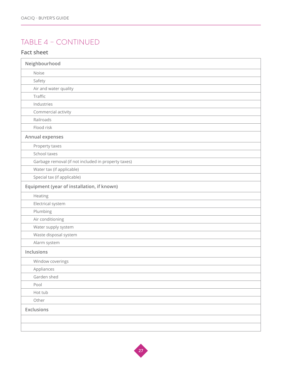## TABLE 4 – CONTINUED

### **Fact sheet**

| Neighbourhood                                       |
|-----------------------------------------------------|
| Noise                                               |
| Safety                                              |
| Air and water quality                               |
| Traffic                                             |
| Industries                                          |
| Commercial activity                                 |
| Railroads                                           |
| Flood risk                                          |
| Annual expenses                                     |
| Property taxes                                      |
| School taxes                                        |
| Garbage removal (if not included in property taxes) |
| Water tax (if applicable)                           |
| Special tax (if applicable)                         |
| Equipment (year of installation, if known)          |
| Heating                                             |
| Electrical system                                   |
| Plumbing                                            |
| Air conditioning                                    |
| Water supply system                                 |
| Waste disposal system                               |
| Alarm system                                        |
| Inclusions                                          |
| Window coverings                                    |
| Appliances                                          |
| Garden shed                                         |
| Pool                                                |
| Hot tub                                             |
| Other                                               |
| <b>Exclusions</b>                                   |
|                                                     |
|                                                     |

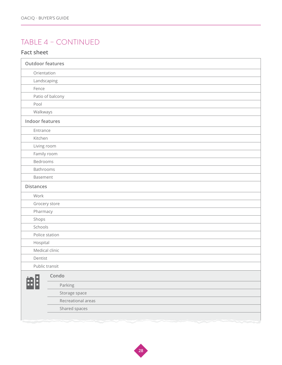## TABLE 4 – CONTINUED

### **Fact sheet**

| <b>Outdoor features</b> |  |
|-------------------------|--|
| Orientation             |  |
| Landscaping             |  |
| Fence                   |  |
| Patio of balcony        |  |
| Pool                    |  |
| Walkways                |  |
| <b>Indoor features</b>  |  |
| Entrance                |  |
| Kitchen                 |  |
| Living room             |  |
| Family room             |  |
| Bedrooms                |  |
| Bathrooms               |  |
| Basement                |  |
| <b>Distances</b>        |  |
| Work                    |  |
| Grocery store           |  |
| Pharmacy                |  |
| Shops                   |  |
| Schools                 |  |
| Police station          |  |
| Hospital                |  |
| Medical clinic          |  |
| Dentist                 |  |
| Public transit          |  |
| Condo                   |  |
| æB<br>Parking           |  |
| Storage space           |  |
| Recreational areas      |  |
| Shared spaces           |  |
|                         |  |

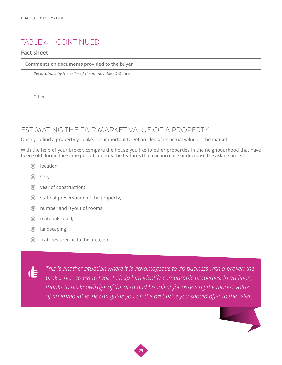## TABLE 4 – CONTINUED

#### **Fact sheet**

**Comments on documents provided to the buyer**

*Declarations by the seller of the immovable* (DS) form

Others

## ESTIMATING THE FAIR MARKET VALUE OF A PROPERTY

Once you find a property you like, it is important to get an idea of its actual value on the market.

With the help of your broker, compare the house you like to other properties in the neighbourhood that have been sold during the same period. Identify the features that can increase or decrease the asking price:

- **O** location;
- $\odot$  size:
- year of construction;
- $\odot$  state of preservation of the property;
- number and layout of rooms;
- $\odot$  materials used;
- **O** landscaping;
- $\odot$  features specific to the area, etc.

*This is another situation where it is advantageous to do business with a broker: the*  **dE** *broker has access to tools to help him identify comparable properties. In addition, thanks to his knowledge of the area and his talent for assessing the market value of an immovable, he can guide you on the best price you should offer to the seller.* 



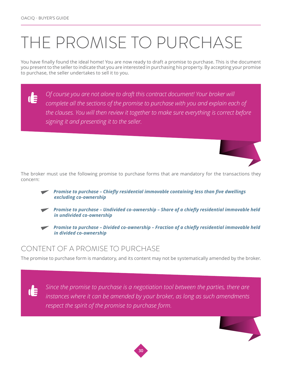## <span id="page-29-0"></span>THE PROMISE TO PURCHASE

You have finally found the ideal home! You are now ready to draft a promise to purchase. This is the document you present to the seller to indicate that you are interested in purchasing his property. By accepting your promise to purchase, the seller undertakes to sell it to you.

*Of course you are not alone to draft this contract document! Your broker will*   $\mathbf{d}$ *complete all the sections of the promise to purchase with you and explain each of the clauses. You will then review it together to make sure everything is correct before signing it and presenting it to the seller.*



The broker must use the following promise to purchase forms that are mandatory for the transactions they concern:

- *[Promise to purchase Chiefly residential immovable containing less than five dwellings](http://www.oaciq.com/en/pages/real-estate-brokerage-forms)  [excluding co-ownership](http://www.oaciq.com/en/pages/real-estate-brokerage-forms)*
- *[Promise to purchase Undivided co-ownership Share of a chiefly residential immovable held](http://www.oaciq.com/en/pages/real-estate-brokerage-forms)  [in undivided co-ownership](http://www.oaciq.com/en/pages/real-estate-brokerage-forms)*
- *[Promise to purchase Divided co-ownership Fraction of a chiefly residential immovable held](http://www.oaciq.com/en/pages/real-estate-brokerage-forms)  [in divided co-ownership](http://www.oaciq.com/en/pages/real-estate-brokerage-forms)*

## CONTENT OF A PROMISE TO PURCHASE

d

The promise to purchase form is mandatory, and its content may not be systematically amended by the broker.

*Since the promise to purchase is a negotiation tool between the parties, there are instances where it can be amended by your broker, as long as such amendments respect the spirit of the promise to purchase form.*



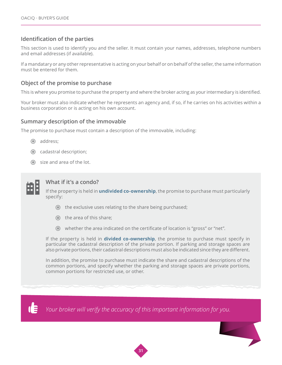### **Identification of the parties**

This section is used to identify you and the seller. It must contain your names, addresses, telephone numbers and email addresses (if available).

If a mandatary or any other representative is acting on your behalf or on behalf of the seller, the same information must be entered for them.

#### **Object of the promise to purchase**

This is where you promise to purchase the property and where the broker acting as your intermediary is identified.

Your broker must also indicate whether he represents an agency and, if so, if he carries on his activities within a business corporation or is acting on his own account.

#### **Summary description of the immovable**

The promise to purchase must contain a description of the immovable, including:

- address:
- cadastral description;
- size and area of the lot.



#### **What if it's a condo?**

If the property is held in **[undivided co-ownership](http://www.oaciq.com/en/pages/real-estate-brokerage-forms)**, the promise to purchase must particularly specify:

- the exclusive uses relating to the share being purchased;
- $\odot$  the area of this share;
- whether the area indicated on the certificate of location is "gross" or "net".

If the property is held in **[divided co-ownership](http://www.oaciq.com/en/pages/real-estate-brokerage-forms)**, the promise to purchase must specify in particular the cadastral description of the private portion. If parking and storage spaces are also private portions, their cadastral descriptions must also be indicated since they are different.

In addition, the promise to purchase must indicate the share and cadastral descriptions of the common portions, and specify whether the parking and storage spaces are private portions, common portions for restricted use, or other.



*Your broker will verify the accuracy of this important information for you.*

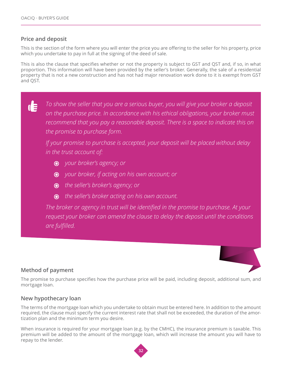### **Price and deposit**

This is the section of the form where you will enter the price you are offering to the seller for his property, price which you undertake to pay in full at the signing of the deed of sale.

This is also the clause that specifies whether or not the property is subject to GST and QST and, if so, in what proportion. This information will have been provided by the seller's broker. Generally, the sale of a residential property that is not a new construction and has not had major renovation work done to it is exempt from GST and QST.

*To show the seller that you are a serious buyer, you will give your broker a deposit*  d *on the purchase price. In accordance with his ethical obligations, your broker must recommend that you pay a reasonable deposit. There is a space to indicate this on the promise to purchase form.* 

*If your promise to purchase is accepted, your deposit will be placed without delay in the trust account of:* 

- *your broker's agency; or*
- *your broker, if acting on his own account; or*
- *the seller's broker's agency; or*
- *the seller's broker acting on his own account.*

*The broker or agency in trust will be identified in the promise to purchase. At your request your broker can amend the clause to delay the deposit until the conditions are fulfilled.*

### **Method of payment**

The promise to purchase specifies how the purchase price will be paid, including deposit, additional sum, and mortgage loan.

### **New hypothecary loan**

The terms of the mortgage loan which you undertake to obtain must be entered here. In addition to the amount required, the clause must specify the current interest rate that shall not be exceeded, the duration of the amortization plan and the minimum term you desire.

When insurance is required for your mortgage loan (e.g. by the CMHC), the insurance premium is taxable. This premium will be added to the amount of the mortgage loan, which will increase the amount you will have to repay to the lender.

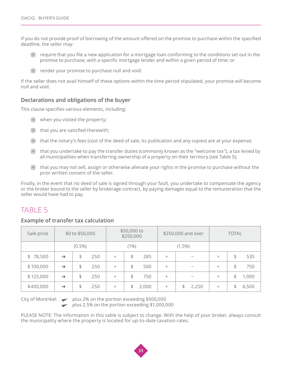If you do not provide proof of borrowing of the amount offered on the promise to purchase within the specified deadline, the seller may:

- $\odot$  require that you file a new application for a mortgage loan conforming to the conditions set out in the promise to purchase, with a specific mortgage lender and within a given period of time; or
- render your promise to purchase null and void.

If the seller does not avail himself of these options within the time period stipulated, your promise will become null and void.

### **Declarations and obligations of the buyer**

This clause specifies various elements, including:

- when you visited the property;
- $\odot$  that you are satisfied therewith;
- that the notary's fees (cost of the deed of sale, its publication and any copies) are at your expense;
- that you undertake to pay the transfer duties (commonly known as the "welcome tax"), a tax levied by all municipalities when transferring ownership of a property on their territory (see Table 5);
- that you may not sell, assign or otherwise alienate your rights in the promise to purchase without the prior written consent of the seller.

Finally, in the event that no deed of sale is signed through your fault, you undertake to compensate the agency or the broker bound to the seller by brokerage contract, by paying damages equal to the remuneration that the seller would have had to pay.

## TABLE 5

#### **Example of transfer tax calculation**

| Sale price |               | \$0 to \$50,000 |     | \$50,000 to<br>\$250,000 |    | \$250,000 and over |           | <b>TOTAL</b> |     |    |       |
|------------|---------------|-----------------|-----|--------------------------|----|--------------------|-----------|--------------|-----|----|-------|
|            |               | $(0.5\%)$       |     | $(1\%)$                  |    |                    | $(1.5\%)$ |              |     |    |       |
| \$78,500   | $\rightarrow$ | \$              | 250 | $^{+}$                   | \$ | 285                | $^{+}$    |              | $=$ | \$ | 535   |
| \$100,000  | $\rightarrow$ | \$              | 250 | $^{+}$                   | \$ | 500                | $^{+}$    |              | $=$ | \$ | 750   |
| \$125,000  | $\rightarrow$ | \$              | 250 | $\pm$                    | \$ | 750                | $^{+}$    |              | $=$ | \$ | 1,000 |
| \$400,000  | $\rightarrow$ | \$              | 250 | $^{+}$                   | \$ | 2,000              | $^{+}$    | 2,250<br>\$  | $=$ | \$ | 4,500 |

City of Montréal:  $\longrightarrow$  plus 2% on the portion exceeding \$500,000

plus 2.5% on the portion exceeding \$1,000,000

PLEASE NOTE: The information in this table is subject to change. With the help of your broker, always consult the municipality where the property is located for up-to-date taxation rates.

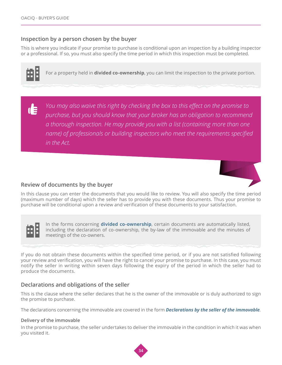#### **Inspection by a person chosen by the buyer**

This is where you indicate if your promise to purchase is conditional upon an inspection by a building inspector or a professional. If so, you must also specify the time period in which this inspection must be completed.



For a property held in **divided co-ownership**, you can limit the inspection to the private portion.

*You may also waive this right by checking the box to this effect on the promise to*  d *purchase, but you should know that your broker has an obligation to recommend a thorough inspection. He may provide you with a list (containing more than one name) of professionals or building inspectors who meet the requirements specified in the Act.* 



#### **Review of documents by the buyer**

In this clause you can enter the documents that you would like to review. You will also specify the time period (maximum number of days) which the seller has to provide you with these documents. Thus your promise to purchase will be conditional upon a review and verification of these documents to your satisfaction.



In the forms concerning **[divided co-ownership](http://www.oaciq.com/en/pages/real-estate-brokerage-forms)**, certain documents are automatically listed, including the declaration of co-ownership, the by-law of the immovable and the minutes of meetings of the co-owners.

If you do not obtain these documents within the specified time period, or if you are not satisfied following your review and verification, you will have the right to cancel your promise to purchase. In this case, you must notify the seller in writing within seven days following the expiry of the period in which the seller had to produce the documents.

#### **Declarations and obligations of the seller**

This is the clause where the seller declares that he is the owner of the immovable or is duly authorized to sign the promise to purchase.

The declarations concerning the immovable are covered in the form *[Declarations by the seller of the immovable](http://www.oaciq.com/en/pages/real-estate-brokerage-forms)*.

#### **Delivery of the immovable**

In the promise to purchase, the seller undertakes to deliver the immovable in the condition in which it was when you visited it.

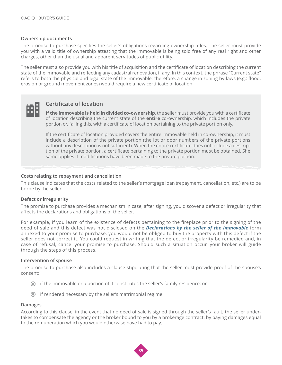#### **Ownership documents**

The promise to purchase specifies the seller's obligations regarding ownership titles. The seller must provide you with a valid title of ownership attesting that the immovable is being sold free of any real right and other charges, other than the usual and apparent servitudes of public utility.

The seller must also provide you with his title of acquisition and the certificate of location describing the current state of the immovable and reflecting any cadastral renovation, if any. In this context, the phrase "Current state" refers to both the physical and legal state of the immovable; therefore, a change in zoning by-laws (e.g.: flood, erosion or ground movement zones) would require a new certificate of location.



#### **Certificate of location**

**If the immovable is held in divided co-ownership**, the seller must provide you with a certificate of location describing the current state of the **entire** co-ownership, which includes the private portion or, failing this, with a certificate of location pertaining to the private portion only.

If the certificate of location provided covers the entire immovable held in co-ownership, it must include a description of the private portion (the lot or door numbers of the private portions without any description is not sufficient). When the entire certificate does not include a description of the private portion, a certificate pertaining to the private portion must be obtained. She same applies if modifications have been made to the private portion.

#### **Costs relating to repayment and cancellation**

This clause indicates that the costs related to the seller's mortgage loan (repayment, cancellation, etc.) are to be borne by the seller.

#### **Defect or irregularity**

The promise to purchase provides a mechanism in case, after signing, you discover a defect or irregularity that affects the declarations and obligations of the seller.

For example, if you learn of the existence of defects pertaining to the fireplace prior to the signing of the deed of sale and this defect was not disclosed on the *[Declarations by the seller of the immovable](http://www.oaciq.com/en/pages/real-estate-brokerage-forms)* form annexed to your promise to purchase, you would not be obliged to buy the property with this defect if the seller does not correct it. You could request in writing that the defect or irregularity be remedied and, in case of refusal, cancel your promise to purchase. Should such a situation occur, your broker will guide through the steps of this process.

#### **Intervention of spouse**

The promise to purchase also includes a clause stipulating that the seller must provide proof of the spouse's consent:

- if the immovable or a portion of it constitutes the seller's family residence; or
- $\odot$  if rendered necessary by the seller's matrimonial regime.

#### **Damages**

According to this clause, in the event that no deed of sale is signed through the seller's fault, the seller undertakes to compensate the agency or the broker bound to you by a brokerage contract, by paying damages equal to the remuneration which you would otherwise have had to pay.

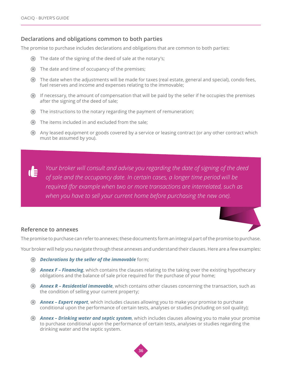#### **Declarations and obligations common to both parties**

The promise to purchase includes declarations and obligations that are common to both parties:

- The date of the signing of the deed of sale at the notary's;
- The date and time of occupancy of the premises;
- The date when the adjustments will be made for taxes (real estate, general and special), condo fees, fuel reserves and income and expenses relating to the immovable;
- If necessary, the amount of compensation that will be paid by the seller if he occupies the premises after the signing of the deed of sale;
- The instructions to the notary regarding the payment of remuneration;
- The items included in and excluded from the sale;
- Any leased equipment or goods covered by a service or leasing contract (or any other contract which must be assumed by you).

*Your broker will consult and advise you regarding the date of signing of the deed of sale and the occupancy date. In certain cases, a longer time period will be required (for example when two or more transactions are interrelated, such as when you have to sell your current home before purchasing the new one).*

### **Reference to annexes**

The promise to purchase can refer to annexes; these documents form an integral part of the promise to purchase.

Your broker will help you navigate through these annexes and understand their clauses. Here are a few examples:

- *[Declarations by the seller of the immovable](http://www.oaciq.com/en/pages/real-estate-brokerage-forms)* form;
- *[Annex F Financing](http://www.oaciq.com/en/pages/real-estate-brokerage-forms)*, which contains the clauses relating to the taking over the existing hypothecary obligations and the balance of sale price required for the purchase of your home;
- *[Annex R Residential immovable](http://www.oaciq.com/en/pages/real-estate-brokerage-forms)*, which contains other clauses concerning the transaction, such as the condition of selling your current property;
- *[Annex Expert report](http://www.oaciq.com/en/pages/real-estate-brokerage-forms)*, which includes clauses allowing you to make your promise to purchase conditional upon the performance of certain tests, analyses or studies (including on soil quality);
- *[Annex Drinking water and septic system](http://www.oaciq.com/en/pages/real-estate-brokerage-forms)*, which includes clauses allowing you to make your promise to purchase conditional upon the performance of certain tests, analyses or studies regarding the drinking water and the septic system.

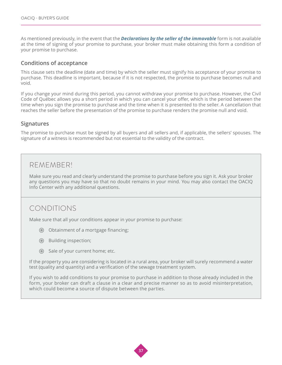As mentioned previously, in the event that the *[Declarations by the seller of the immovable](http://www.oaciq.com/en/pages/real-estate-brokerage-forms)* form is not available at the time of signing of your promise to purchase, your broker must make obtaining this form a condition of your promise to purchase.

#### **Conditions of acceptance**

This clause sets the deadline (date and time) by which the seller must signify his acceptance of your promise to purchase. This deadline is important, because if it is not respected, the promise to purchase becomes null and void.

If you change your mind during this period, you cannot withdraw your promise to purchase. However, the Civil Code of Québec allows you a short period in which you can cancel your offer, which is the period between the time when you sign the promise to purchase and the time when it is presented to the seller. A cancellation that reaches the seller before the presentation of the promise to purchase renders the promise null and void.

#### **Signatures**

The promise to purchase must be signed by all buyers and all sellers and, if applicable, the sellers' spouses. The signature of a witness is recommended but not essential to the validity of the contract.

## REMEMBER!

Make sure you read and clearly understand the promise to purchase before you sign it. Ask your broker any questions you may have so that no doubt remains in your mind. You may also contact the OACIQ Info Center with any additional questions.

## CONDITIONS

Make sure that all your conditions appear in your promise to purchase:

- Obtainment of a mortgage financing;
- Building inspection;
- Sale of your current home; etc.

If the property you are considering is located in a rural area, your broker will surely recommend a water test (quality and quantity) and a verification of the sewage treatment system.

If you wish to add conditions to your promise to purchase in addition to those already included in the form, your broker can draft a clause in a clear and precise manner so as to avoid misinterpretation, which could become a source of dispute between the parties.

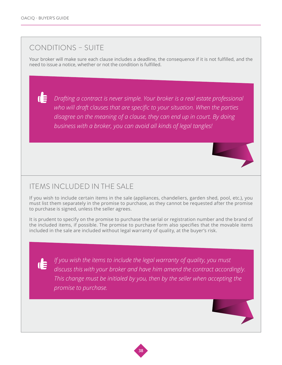Œ

## CONDITIONS – SUITE

Your broker will make sure each clause includes a deadline, the consequence if it is not fulfilled, and the need to issue a notice, whether or not the condition is fulfilled.

*Drafting a contract is never simple. Your broker is a real estate professional who will draft clauses that are specific to your situation. When the parties disagree on the meaning of a clause, they can end up in court. By doing business with a broker, you can avoid all kinds of legal tangles!* 

## ITEMS INCLUDED IN THE SALE

If you wish to include certain items in the sale (appliances, chandeliers, garden shed, pool, etc.), you must list them separately in the promise to purchase, as they cannot be requested after the promise to purchase is signed, unless the seller agrees.

It is prudent to specify on the promise to purchase the serial or registration number and the brand of the included items, if possible. The promise to purchase form also specifies that the movable items included in the sale are included without legal warranty of quality, at the buyer's risk.

de

*If you wish the items to include the legal warranty of quality, you must discuss this with your broker and have him amend the contract accordingly. This change must be initialed by you, then by the seller when accepting the promise to purchase.*

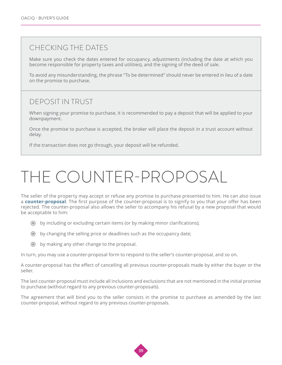## <span id="page-38-0"></span>CHECKING THE DATES

Make sure you check the dates entered for occupancy, adjustments (including the date at which you become responsible for property taxes and utilities), and the signing of the deed of sale.

To avoid any misunderstanding, the phrase "To be determined" should never be entered in lieu of a date on the promise to purchase.

## DEPOSIT IN TRUST

When signing your promise to purchase, it is recommended to pay a deposit that will be applied to your downpayment.

Once the promise to purchase is accepted, the broker will place the deposit in a trust account without delay.

If the transaction does not go through, your deposit will be refunded.

## THE COUNTER-PROPOSAL

The seller of the property may accept or refuse any promise to purchase presented to him. He can also issue a **[counter-proposal](http://www.oaciq.com/en/pages/real-estate-brokerage-forms)**. The first purpose of the counter-proposal is to signify to you that your offer has been rejected. The counter-proposal also allows the seller to accompany his refusal by a new proposal that would be acceptable to him:

- by including or excluding certain items (or by making minor clarifications);
- by changing the selling price or deadlines such as the occupancy date;
- by making any other change to the proposal.

In turn, you may use a counter-proposal form to respond to the seller's counter-proposal, and so on.

A counter-proposal has the effect of cancelling all previous counter-proposals made by either the buyer or the seller.

The last counter-proposal must include all inclusions and exclusions that are not mentioned in the initial promise to purchase (without regard to any previous counter-proposals).

The agreement that will bind you to the seller consists in the promise to purchase as amended by the last counter-proposal, without regard to any previous counter-proposals.

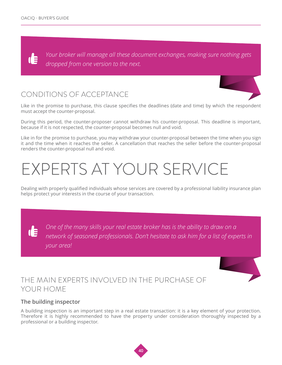<span id="page-39-0"></span>*Your broker will manage all these document exchanges, making sure nothing gets*  **TE** *dropped from one version to the next.*

## CONDITIONS OF ACCEPTANCE

Like in the promise to purchase, this clause specifies the deadlines (date and time) by which the respondent must accept the counter-proposal.

During this period, the counter-proposer cannot withdraw his counter-proposal. This deadline is important, because if it is not respected, the counter-proposal becomes null and void.

Like in for the promise to purchase, you may withdraw your counter-proposal between the time when you sign it and the time when it reaches the seller. A cancellation that reaches the seller before the counter-proposal renders the counter-proposal null and void.

## EXPERTS AT YOUR SERVICE

Dealing with properly qualified individuals whose services are covered by a professional liability insurance plan helps protect your interests in the course of your transaction.

*One of the many skills your real estate broker has is the ability to draw on a*  **IE** *network of seasoned professionals. Don't hesitate to ask him for a list of experts in your area!*

## THE MAIN EXPERTS INVOLVED IN THE PURCHASE OF YOUR HOME

### **The building inspector**

A building inspection is an important step in a real estate transaction: it is a key element of your protection. Therefore it is highly recommended to have the property under consideration thoroughly inspected by a professional or a building inspector.

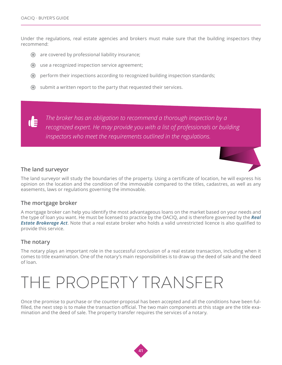<span id="page-40-0"></span>Under the regulations, real estate agencies and brokers must make sure that the building inspectors they recommend:

- are covered by professional liability insurance;
- use a recognized inspection service agreement;
- perform their inspections according to recognized building inspection standards;
- submit a written report to the party that requested their services.

*The broker has an obligation to recommend a thorough inspection by a*  **TE** *recognized expert. He may provide you with a list of professionals or building inspectors who meet the requirements outlined in the regulations.* 

#### **The land surveyor**

The land surveyor will study the boundaries of the property. Using a certificate of location, he will express his opinion on the location and the condition of the immovable compared to the titles, cadastres, as well as any easements, laws or regulations governing the immovable.

#### **The mortgage broker**

A mortgage broker can help you identify the most advantageous loans on the market based on your needs and the type of loan you want. He must be licensed to practice by the OACIQ, and is therefore governed by the *[Real](http://www.oaciq.com/en/pages/by-laws-and-regulations)*  **[Estate Brokerage Act](http://www.oaciq.com/en/pages/by-laws-and-regulations)**. Note that a real estate broker who holds a valid unrestricted licence is also qualified to provide this service.

#### **The notary**

The notary plays an important role in the successful conclusion of a real estate transaction, including when it comes to title examination. One of the notary's main responsibilities is to draw up the deed of sale and the deed of loan.

## THE PROPERTY TRANSFER

Once the promise to purchase or the counter-proposal has been accepted and all the conditions have been fulfilled, the next step is to make the transaction official. The two main components at this stage are the title examination and the deed of sale. The property transfer requires the services of a notary.

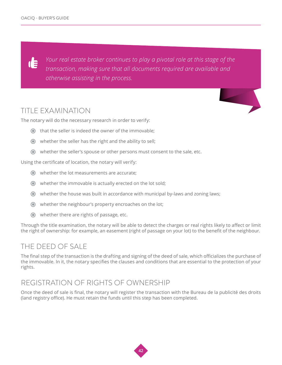*Your real estate broker continues to play a pivotal role at this stage of the*  d *transaction, making sure that all documents required are available and otherwise assisting in the process.*

## TITLE EXAMINATION

The notary will do the necessary research in order to verify:

- that the seller is indeed the owner of the immovable;
- whether the seller has the right and the ability to sell;
- whether the seller's spouse or other persons must consent to the sale, etc.

Using the certificate of location, the notary will verify:

- whether the lot measurements are accurate;
- whether the immovable is actually erected on the lot sold;
- whether the house was built in accordance with municipal by-laws and zoning laws;
- whether the neighbour's property encroaches on the lot;
- whether there are rights of passage, etc.

Through the title examination, the notary will be able to detect the charges or real rights likely to affect or limit the right of ownership: for example, an easement (right of passage on your lot) to the benefit of the neighbour.

## THE DEED OF SALE

The final step of the transaction is the drafting and signing of the deed of sale, which officializes the purchase of the immovable. In it, the notary specifies the clauses and conditions that are essential to the protection of your rights.

## REGISTRATION OF RIGHTS OF OWNERSHIP

Once the deed of sale is final, the notary will register the transaction with the Bureau de la publicité des droits (land registry office). He must retain the funds until this step has been completed.

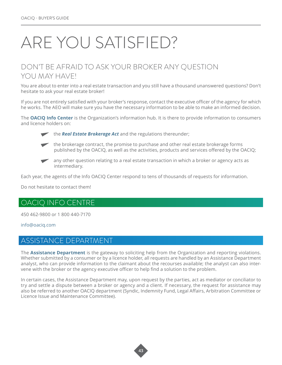## <span id="page-42-0"></span>ARE YOU SATISFIED?

## DON'T BE AFRAID TO ASK YOUR BROKER ANY QUESTION YOU MAY HAVE!

You are about to enter into a real estate transaction and you still have a thousand unanswered questions? Don't hesitate to ask your real estate broker!

If you are not entirely satisfied with your broker's response, contact the executive officer of the agency for which he works. The AEO will make sure you have the necessary information to be able to make an informed decision.

The **[OACIQ Info Center](http://www.oaciq.com/en/pages/info-oaciq)** is the Organization's information hub. It is there to provide information to consumers and licence holders on:



the **[Real Estate Brokerage Act](http://www.oaciq.com/en/pages/by-laws-and-regulations)** and the regulations thereunder;



 the brokerage contract, the promise to purchase and other real estate brokerage forms published by the OACIQ, as well as the activities, products and services offered by the OACIQ;



Each year, the agents of the Info OACIQ Center respond to tens of thousands of requests for information.

Do not hesitate to contact them!

## OACIQ INFO CENTRE

450 462-9800 or 1 800 440-7170

#### [info@oaciq.com](mailto:info%40oaciq.com?subject=)

## ASSISTANCE DEPARTMENT

The **[Assistance Department](http://www.oaciq.com/en/pages/assistance-department)** is the gateway to soliciting help from the Organization and reporting violations. Whether submitted by a consumer or by a licence holder, all requests are handled by an Assistance Department analyst, who can provide information to the claimant about the recourses available; the analyst can also intervene with the broker or the agency executive officer to help find a solution to the problem.

In certain cases, the Assistance Department may, upon request by the parties, act as mediator or conciliator to try and settle a dispute between a broker or agency and a client. If necessary, the request for assistance may also be referred to another OACIQ department (Syndic, Indemnity Fund, Legal Affairs, Arbitration Committee or Licence Issue and Maintenance Committee).

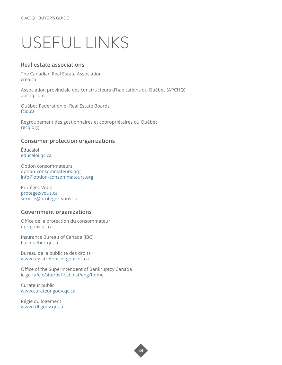## <span id="page-43-0"></span>USEFUL LINKS

#### **Real estate associations**

The Canadian Real Estate Association [crea.ca](http://crea.ca)

Association provinciale des constructeurs d'habitations du Québec (APCHQ) [apchq.com](http://apchq.com)

Québec Federation of Real Estate Boards [fciq.ca](http://fciq.ca)

Regroupement des gestionnaires et copropriétaires du Québec [rgcq.org](http://rgcq.org)

#### **Consumer protection organizations**

Éducaloi [educaloi.qc.ca](https://educaloi.qc.ca)

Option consommateurs [option-consommateurs.org](http://option-consommateurs.org) [info@option-consommateurs.org](mailto:info%40option-consommateurs.org?subject=) 

Protégez-Vous [protegez-vous.ca](http://www.protegez-vous.ca) [service@protegez-vous.ca](mailto:service%40protegez-vous.ca?subject=)

#### **Government organizations**

Office de la protection du consommateur [opc.gouv.qc.ca](http://www.opc.gouv.qc.ca)

Insurance Bureau of Canada (IBC) [bac-quebec.qc.ca](http://bac-quebec.qc.ca/) 

Bureau de la publicité des droits [www.registrefoncier.gouv.qc.ca](http://www.registrefoncier.gouv.qc.ca)

Office of the Superintendent of Bankruptcy Canada [ic.gc.ca/eic/site/bsf-osb.nsf/eng/home](http://ic.gc.ca/eic/site/bsf-osb.nsf/eng/home)

Curateur public www[.curateur.gouv.qc.ca](http://www.curateur.gouv.qc.ca/cura/fr/index.html) 

Régie du logement www[.rdl.gouv.qc.ca](http://www.rdl.gouv.qc.ca/fr/accueil/accueil.asp)